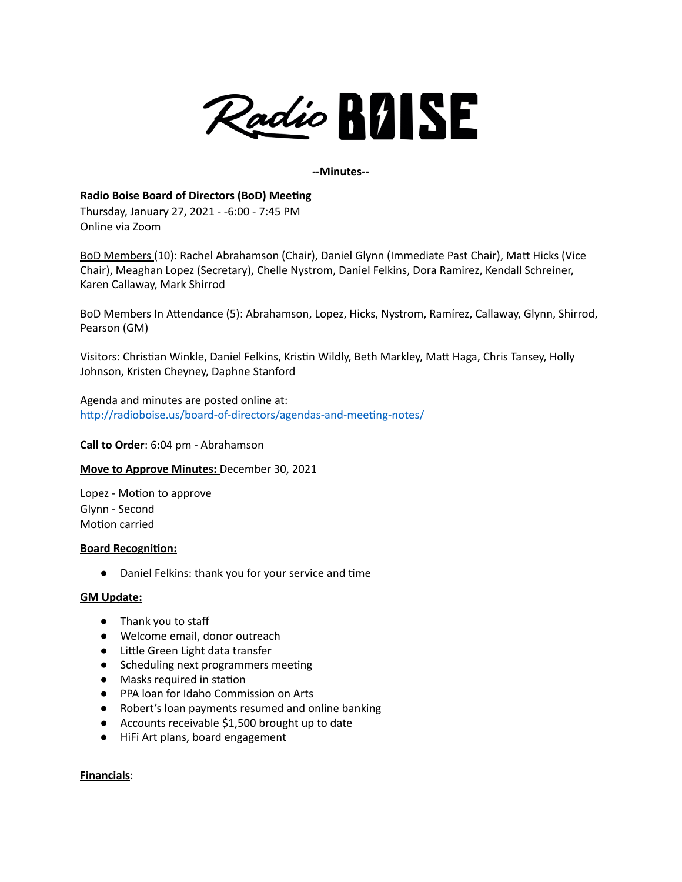

#### **--Minutes--**

## **Radio Boise Board of Directors (BoD) Meeting**

Thursday, January 27, 2021 - -6:00 - 7:45 PM Online via Zoom

BoD Members (10): Rachel Abrahamson (Chair), Daniel Glynn (Immediate Past Chair), Matt Hicks (Vice Chair), Meaghan Lopez (Secretary), Chelle Nystrom, Daniel Felkins, Dora Ramirez, Kendall Schreiner, Karen Callaway, Mark Shirrod

BoD Members In Attendance (5): Abrahamson, Lopez, Hicks, Nystrom, Ramírez, Callaway, Glynn, Shirrod, Pearson (GM)

Visitors: Christian Winkle, Daniel Felkins, Kristin Wildly, Beth Markley, Matt Haga, Chris Tansey, Holly Johnson, Kristen Cheyney, Daphne Stanford

Agenda and minutes are posted online at: <http://radioboise.us/board-of-directors/agendas-and-meeting-notes/>

**Call to Order**: 6:04 pm - Abrahamson

#### **Move to Approve Minutes:** December 30, 2021

Lopez - Motion to approve Glynn - Second Motion carried

#### **Board Recognition:**

● Daniel Felkins: thank you for your service and time

#### **GM Update:**

- Thank you to staff
- Welcome email, donor outreach
- Little Green Light data transfer
- Scheduling next programmers meeting
- Masks required in station
- PPA loan for Idaho Commission on Arts
- Robert's loan payments resumed and online banking
- Accounts receivable \$1,500 brought up to date
- HiFi Art plans, board engagement

#### **Financials**: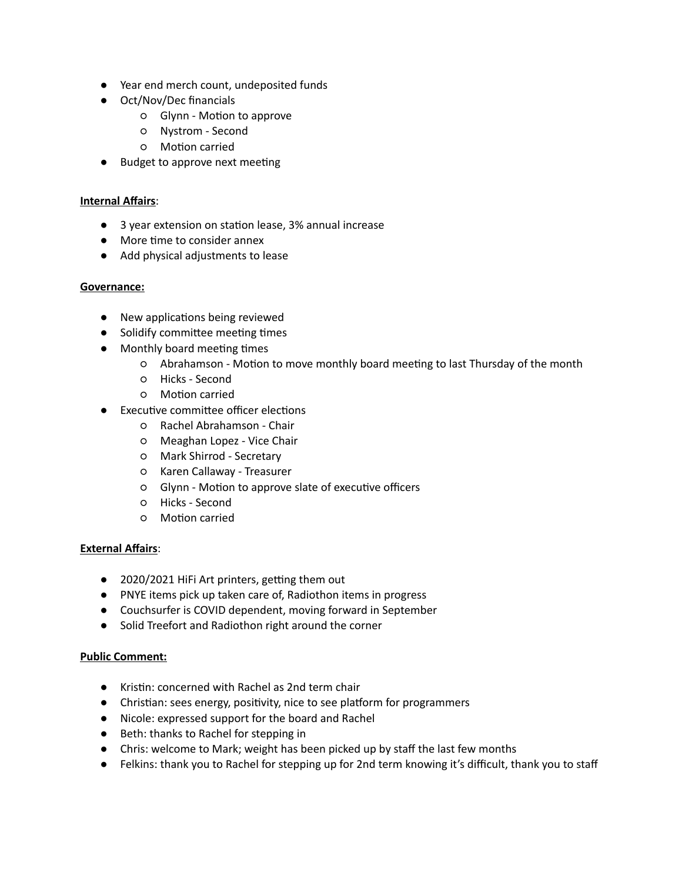- Year end merch count, undeposited funds
- Oct/Nov/Dec financials
	- Glynn Motion to approve
	- Nystrom Second
	- Motion carried
- Budget to approve next meeting

## **Internal Affairs**:

- 3 year extension on station lease, 3% annual increase
- More time to consider annex
- Add physical adjustments to lease

### **Governance:**

- New applications being reviewed
- Solidify committee meeting times
- Monthly board meeting times
	- Abrahamson Motion to move monthly board meeting to last Thursday of the month
	- Hicks Second
	- Motion carried
- Executive committee officer elections
	- Rachel Abrahamson Chair
	- Meaghan Lopez Vice Chair
	- Mark Shirrod Secretary
	- Karen Callaway Treasurer
	- Glynn Motion to approve slate of executive officers
	- Hicks Second
	- Motion carried

# **External Affairs**:

- 2020/2021 HiFi Art printers, getting them out
- PNYE items pick up taken care of, Radiothon items in progress
- Couchsurfer is COVID dependent, moving forward in September
- Solid Treefort and Radiothon right around the corner

# **Public Comment:**

- Kristin: concerned with Rachel as 2nd term chair
- Christian: sees energy, positivity, nice to see platform for programmers
- Nicole: expressed support for the board and Rachel
- Beth: thanks to Rachel for stepping in
- Chris: welcome to Mark; weight has been picked up by staff the last few months
- Felkins: thank you to Rachel for stepping up for 2nd term knowing it's difficult, thank you to staff